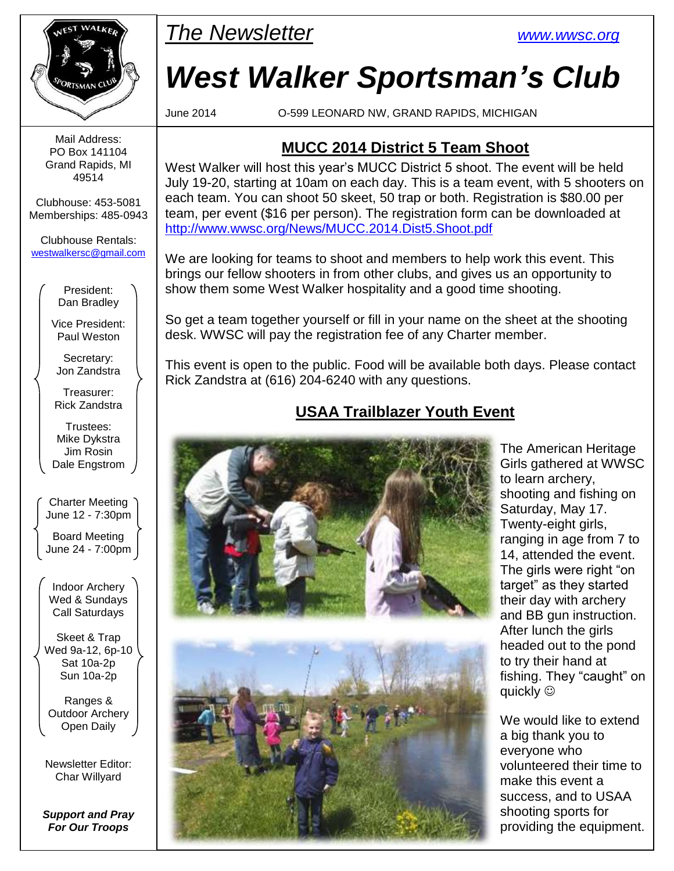

Mail Address: PO Box 141104 Grand Rapids, MI 49514

Clubhouse: 453-5081 Memberships: 485-0943

Clubhouse Rentals: [westwalkersc@gmail.com](mailto:westwalkersc@gmail.com)

> President: Dan Bradley

Vice President: Paul Weston

Secretary: Jon Zandstra

Treasurer: Rick Zandstra

Trustees: Mike Dykstra Jim Rosin Dale Engstrom

Charter Meeting June 12 - 7:30pm

Board Meeting June 24 - 7:00pm

Indoor Archery Wed & Sundays Call Saturdays

Skeet & Trap Wed 9a-12, 6p-10 Sat 10a-2p Sun 10a-2p

Ranges & Outdoor Archery Open Daily

Newsletter Editor: Char Willyard

*Support and Pray For Our Troops*



# *West Walker Sportsman's Club*

June 2014 O-599 LEONARD NW, GRAND RAPIDS, MICHIGAN

#### **MUCC 2014 District 5 Team Shoot**

West Walker will host this year's MUCC District 5 shoot. The event will be held July 19-20, starting at 10am on each day. This is a team event, with 5 shooters on each team. You can shoot 50 skeet, 50 trap or both. Registration is \$80.00 per team, per event (\$16 per person). The registration form can be downloaded at <http://www.wwsc.org/News/MUCC.2014.Dist5.Shoot.pdf>

We are looking for teams to shoot and members to help work this event. This brings our fellow shooters in from other clubs, and gives us an opportunity to show them some West Walker hospitality and a good time shooting.

So get a team together yourself or fill in your name on the sheet at the shooting desk. WWSC will pay the registration fee of any Charter member.

This event is open to the public. Food will be available both days. Please contact Rick Zandstra at (616) 204-6240 with any questions.

#### **USAA Trailblazer Youth Event**





The American Heritage Girls gathered at WWSC to learn archery, shooting and fishing on Saturday, May 17. Twenty-eight girls, ranging in age from 7 to 14, attended the event. The girls were right "on target" as they started their day with archery and BB gun instruction. After lunch the girls headed out to the pond to try their hand at fishing. They "caught" on quickly  $\circledcirc$ 

We would like to extend a big thank you to everyone who volunteered their time to make this event a success, and to USAA shooting sports for providing the equipment.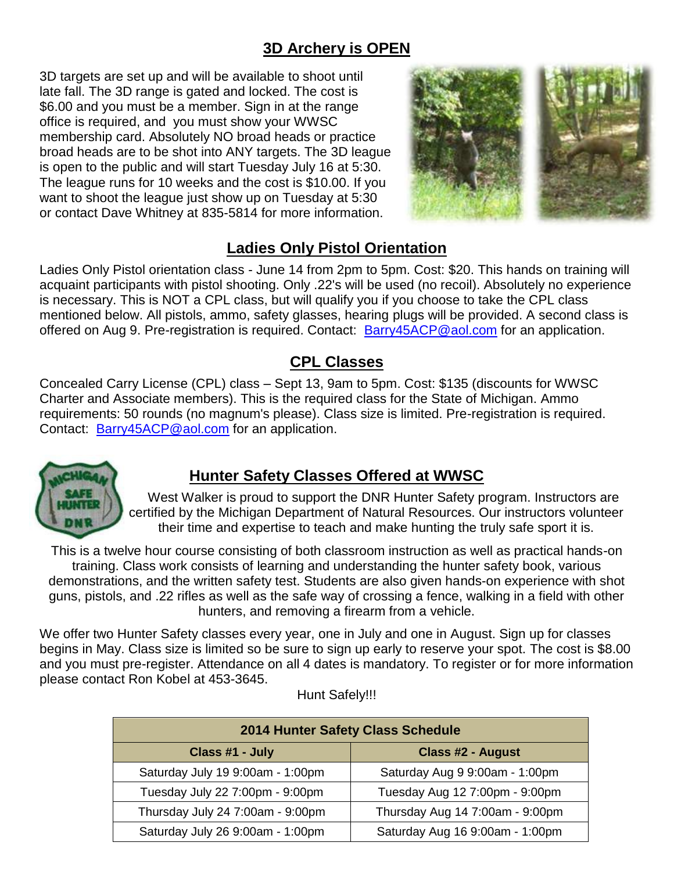#### **3D Archery is OPEN**

3D targets are set up and will be available to shoot until late fall. The 3D range is gated and locked. The cost is \$6.00 and you must be a member. Sign in at the range office is required, and you must show your WWSC membership card. Absolutely NO broad heads or practice broad heads are to be shot into ANY targets. The 3D league is open to the public and will start Tuesday July 16 at 5:30. The league runs for 10 weeks and the cost is \$10.00. If you want to shoot the league just show up on Tuesday at 5:30 or contact Dave Whitney at 835-5814 for more information.



#### **Ladies Only Pistol Orientation**

Ladies Only Pistol orientation class - June 14 from 2pm to 5pm. Cost: \$20. This hands on training will acquaint participants with pistol shooting. Only .22's will be used (no recoil). Absolutely no experience is necessary. This is NOT a CPL class, but will qualify you if you choose to take the CPL class mentioned below. All pistols, ammo, safety glasses, hearing plugs will be provided. A second class is offered on Aug 9. Pre-registration is required. Contact: **[Barry45ACP@aol.com](mailto:Barry45ACP@aol.com)** for an application.

#### **CPL Classes**

Concealed Carry License (CPL) class – Sept 13, 9am to 5pm. Cost: \$135 (discounts for WWSC Charter and Associate members). This is the required class for the State of Michigan. Ammo requirements: 50 rounds (no magnum's please). Class size is limited. Pre-registration is required. Contact: [Barry45ACP@aol.com](mailto:Barry45ACP@aol.com) for an application.



#### **Hunter Safety Classes Offered at WWSC**

 West Walker is proud to support the DNR Hunter Safety program. Instructors are certified by the Michigan Department of Natural Resources. Our instructors volunteer their time and expertise to teach and make hunting the truly safe sport it is.

This is a twelve hour course consisting of both classroom instruction as well as practical hands-on training. Class work consists of learning and understanding the hunter safety book, various demonstrations, and the written safety test. Students are also given hands-on experience with shot guns, pistols, and .22 rifles as well as the safe way of crossing a fence, walking in a field with other hunters, and removing a firearm from a vehicle.

We offer two Hunter Safety classes every year, one in July and one in August. Sign up for classes begins in May. Class size is limited so be sure to sign up early to reserve your spot. The cost is \$8.00 and you must pre-register. Attendance on all 4 dates is mandatory. To register or for more information please contact Ron Kobel at 453-3645.

| 2014 Hunter Safety Class Schedule |                                 |  |  |  |
|-----------------------------------|---------------------------------|--|--|--|
| Class #1 - July                   | <b>Class #2 - August</b>        |  |  |  |
| Saturday July 19 9:00am - 1:00pm  | Saturday Aug 9 9:00am - 1:00pm  |  |  |  |
| Tuesday July 22 7:00pm - 9:00pm   | Tuesday Aug 12 7:00pm - 9:00pm  |  |  |  |
| Thursday July 24 7:00am - 9:00pm  | Thursday Aug 14 7:00am - 9:00pm |  |  |  |
| Saturday July 26 9:00am - 1:00pm  | Saturday Aug 16 9:00am - 1:00pm |  |  |  |

Hunt Safely!!!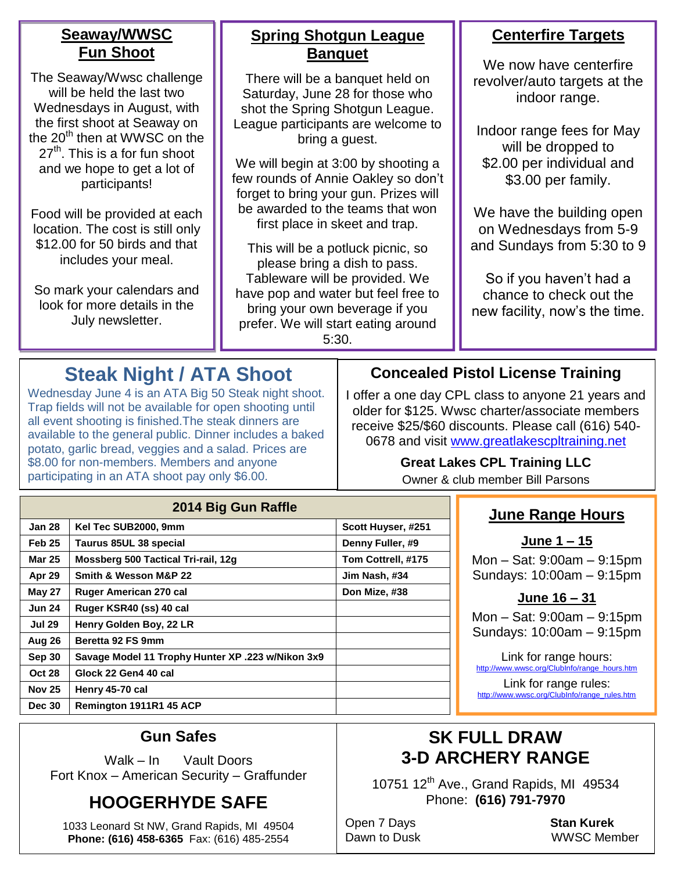#### **Seaway/WWSC Fun Shoot**

The Seaway/Wwsc challenge will be held the last two Wednesdays in August, with the first shoot at Seaway on the  $20<sup>th</sup>$  then at WWSC on the  $27<sup>th</sup>$ . This is a for fun shoot and we hope to get a lot of participants!

Food will be provided at each location. The cost is still only \$12.00 for 50 birds and that includes your meal.

So mark your calendars and look for more details in the July newsletter.

#### **Spring Shotgun League Banquet**

There will be a banquet held on Saturday, June 28 for those who shot the Spring Shotgun League. League participants are welcome to bring a guest.

We will begin at 3:00 by shooting a few rounds of Annie Oakley so don't forget to bring your gun. Prizes will be awarded to the teams that won first place in skeet and trap.

This will be a potluck picnic, so please bring a dish to pass. Tableware will be provided. We have pop and water but feel free to bring your own beverage if you prefer. We will start eating around 5:30.

#### **Centerfire Targets**

We now have centerfire revolver/auto targets at the indoor range.

Indoor range fees for May will be dropped to \$2.00 per individual and \$3.00 per family.

We have the building open on Wednesdays from 5-9 and Sundays from 5:30 to 9

So if you haven't had a chance to check out the new facility, now's the time.

# **Steak Night / ATA Shoot**

Wednesday June 4 is an ATA Big 50 Steak night shoot. Trap fields will not be available for open shooting until all event shooting is finished.The steak dinners are available to the general public. Dinner includes a baked potato, garlic bread, veggies and a salad. Prices are \$8.00 for non-members. Members and anyone participating in an ATA shoot pay only \$6.00.

#### **Concealed Pistol License Training**

I offer a one day CPL class to anyone 21 years and older for \$125. Wwsc charter/associate members receive \$25/\$60 discounts. Please call (616) 540- 0678 and visit www.greatlakescpltraining.net

**Great Lakes CPL Training LLC**

Owner & club member Bill Parsons

#### **June Range Hours**

**June 1 – 15**

Mon – Sat: 9:00am – 9:15pm Sundays: 10:00am – 9:15pm

#### **June 16 – 31**

Mon – Sat: 9:00am – 9:15pm Sundays: 10:00am – 9:15pm

Link for range hours: http://www.wwsc.org/ClubInfo/range\_hours.htm

Link for range rules: http://www.wwsc.org/ClubInfo/range\_rules.htm

#### **Gun Safes**

**Nov 25 Henry 45-70 cal**

**Dec 30 Remington 1911R1 45 ACP**

Walk – In Vault Doors Fort Knox – American Security – Graffunder

## **HOOGERHYDE SAFE**

1033 Leonard St NW, Grand Rapids, MI 49504 **Phone: (616) 458-6365** Fax: (616) 485-2554

### **SK FULL DRAW 3-D ARCHERY RANGE**

10751 12<sup>th</sup> Ave., Grand Rapids, MI 49534 Phone: **(616) 791-7970**

Open 7 Days **Stan Kurek**

Dawn to Dusk WWSC Member

#### **2014 Big Gun Raffle Jan 28 Kel Tec SUB2000, 9mm Scott Huyser, #251 Feb 25 Taurus 85UL 38 special Denny Fuller, #9 Mar 25 Mossberg 500 Tactical Tri-rail, 12g Tom Cottrell, #175 Apr 29 Smith & Wesson M&P 22 Jim Nash, #34 May 27 Ruger American 270 cal Don Mize, #38 Jun 24 Ruger KSR40 (ss) 40 cal Jul 29 Henry Golden Boy, 22 LR Aug 26 Beretta 92 FS 9mm Sep 30 Savage Model 11 Trophy Hunter XP .223 w/Nikon 3x9 Oct 28 Glock 22 Gen4 40 cal**